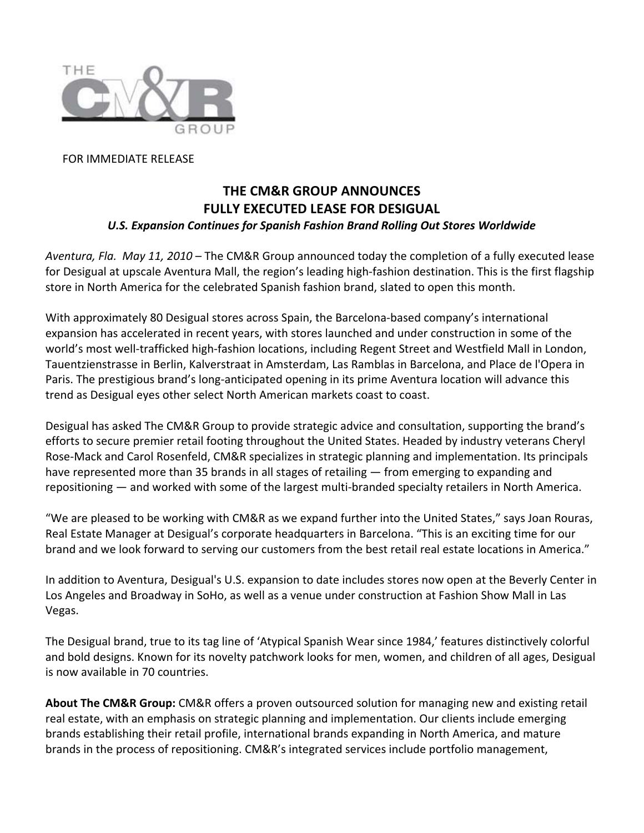

FOR IMMEDIATE RELEASE

## **THE CM&R GROUP ANNOUNCES FULLY EXECUTED LEASE FOR DESIGUAL**  *U.S. Expansion Continues for Spanish Fashion Brand Rolling Out Stores Worldwide*

*Aventura, Fla. May 11, 2010* – The CM&R Group announced today the completion of a fully executed lease for Desigual at upscale Aventura Mall, the region's leading high‐fashion destination. This is the first flagship store in North America for the celebrated Spanish fashion brand, slated to open this month.

With approximately 80 Desigual stores across Spain, the Barcelona‐based company's international expansion has accelerated in recent years, with stores launched and under construction in some of the world's most well‐trafficked high‐fashion locations, including Regent Street and Westfield Mall in London, Tauentzienstrasse in Berlin, Kalverstraat in Amsterdam, Las Ramblas in Barcelona, and Place de l'Opera in Paris. The prestigious brand's long‐anticipated opening in its prime Aventura location will advance this trend as Desigual eyes other select North American markets coast to coast.

Desigual has asked The CM&R Group to provide strategic advice and consultation, supporting the brand's efforts to secure premier retail footing throughout the United States. Headed by industry veterans Cheryl Rose‐Mack and Carol Rosenfeld, CM&R specializes in strategic planning and implementation. Its principals have represented more than 35 brands in all stages of retailing — from emerging to expanding and repositioning — and worked with some of the largest multi‐branded specialty retailers in North America.

"We are pleased to be working with CM&R as we expand further into the United States," says Joan Rouras, Real Estate Manager at Desigual's corporate headquarters in Barcelona. "This is an exciting time for our brand and we look forward to serving our customers from the best retail real estate locations in America."

In addition to Aventura, Desigual's U.S. expansion to date includes stores now open at the Beverly Center in Los Angeles and Broadway in SoHo, as well as a venue under construction at Fashion Show Mall in Las Vegas.

The Desigual brand, true to its tag line of 'Atypical Spanish Wear since 1984,' features distinctively colorful and bold designs. Known for its novelty patchwork looks for men, women, and children of all ages, Desigual is now available in 70 countries.

**About The CM&R Group:** CM&R offers a proven outsourced solution for managing new and existing retail real estate, with an emphasis on strategic planning and implementation. Our clients include emerging brands establishing their retail profile, international brands expanding in North America, and mature brands in the process of repositioning. CM&R's integrated services include portfolio management,